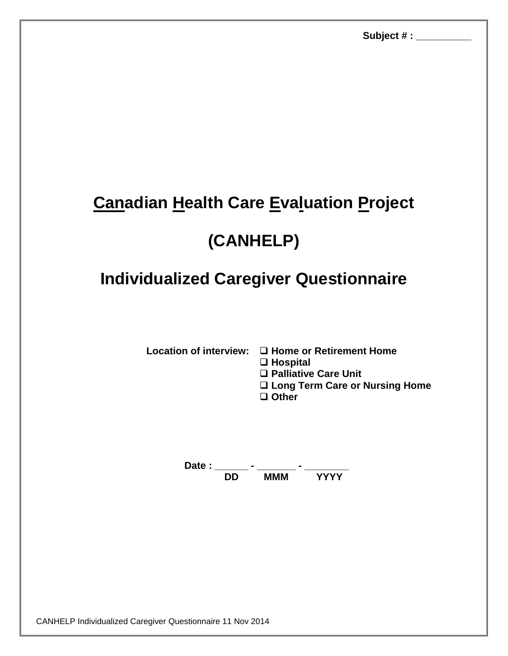## **Canadian Health Care Evaluation Project**

## **(CANHELP)**

## **Individualized Caregiver Questionnaire**

**Location of interview: Home or Retirement Home** 

**Hospital**

**Palliative Care Unit** 

**Long Term Care or Nursing Home**

**Other**

**Date : \_\_\_\_\_\_ - \_\_\_\_\_\_\_ - \_\_\_\_\_\_\_\_ DD MMM YYYY**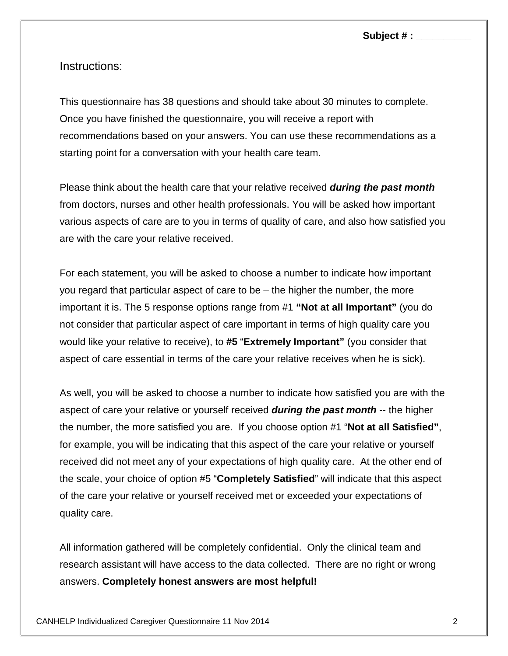**Subject # : \_\_\_\_\_\_\_\_\_\_**

Instructions:

This questionnaire has 38 questions and should take about 30 minutes to complete. Once you have finished the questionnaire, you will receive a report with recommendations based on your answers. You can use these recommendations as a starting point for a conversation with your health care team.

Please think about the health care that your relative received *during the past month* from doctors, nurses and other health professionals. You will be asked how important various aspects of care are to you in terms of quality of care, and also how satisfied you are with the care your relative received.

For each statement, you will be asked to choose a number to indicate how important you regard that particular aspect of care to be – the higher the number, the more important it is. The 5 response options range from #1 **"Not at all Important"** (you do not consider that particular aspect of care important in terms of high quality care you would like your relative to receive), to **#5** "**Extremely Important"** (you consider that aspect of care essential in terms of the care your relative receives when he is sick).

As well, you will be asked to choose a number to indicate how satisfied you are with the aspect of care your relative or yourself received *during the past month* -- the higher the number, the more satisfied you are. If you choose option #1 "**Not at all Satisfied"**, for example, you will be indicating that this aspect of the care your relative or yourself received did not meet any of your expectations of high quality care. At the other end of the scale, your choice of option #5 "**Completely Satisfied**" will indicate that this aspect of the care your relative or yourself received met or exceeded your expectations of quality care.

All information gathered will be completely confidential. Only the clinical team and research assistant will have access to the data collected. There are no right or wrong answers. **Completely honest answers are most helpful!**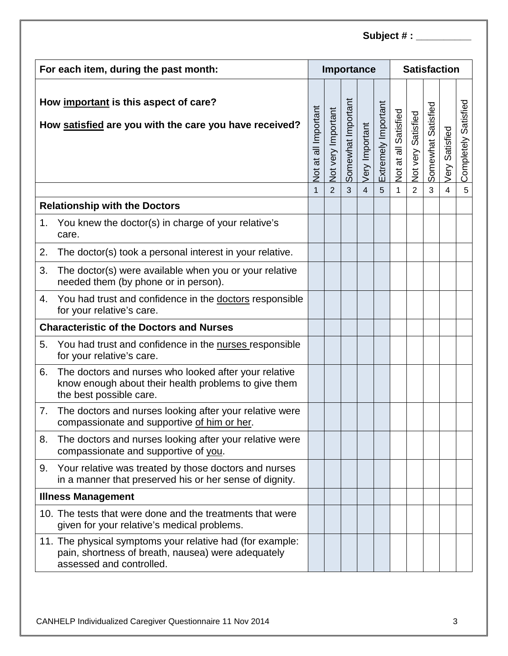| For each item, during the past month:           |                                                                                                                                             |                      |                    |                    | Importance     |                     | <b>Satisfaction</b>  |                    |                    |                |                         |  |
|-------------------------------------------------|---------------------------------------------------------------------------------------------------------------------------------------------|----------------------|--------------------|--------------------|----------------|---------------------|----------------------|--------------------|--------------------|----------------|-------------------------|--|
|                                                 | How important is this aspect of care?<br>How satisfied are you with the care you have received?                                             | Not at all Important | Not very Important | Somewhat Important | Very Important | Extremely Important | Not at all Satisfied | Not very Satisfied | Somewhat Satisfied | Very Satisfied | Satisfied<br>Completely |  |
|                                                 |                                                                                                                                             | 1                    | $\overline{2}$     | $\overline{3}$     | $\overline{4}$ | 5                   | 1                    | $\overline{2}$     | $\overline{3}$     | $\overline{4}$ | 5                       |  |
| <b>Relationship with the Doctors</b>            |                                                                                                                                             |                      |                    |                    |                |                     |                      |                    |                    |                |                         |  |
| 1.                                              | You knew the doctor(s) in charge of your relative's<br>care.                                                                                |                      |                    |                    |                |                     |                      |                    |                    |                |                         |  |
| 2.                                              | The doctor(s) took a personal interest in your relative.                                                                                    |                      |                    |                    |                |                     |                      |                    |                    |                |                         |  |
| 3.                                              | The doctor(s) were available when you or your relative<br>needed them (by phone or in person).                                              |                      |                    |                    |                |                     |                      |                    |                    |                |                         |  |
| 4.                                              | You had trust and confidence in the doctors responsible<br>for your relative's care.                                                        |                      |                    |                    |                |                     |                      |                    |                    |                |                         |  |
| <b>Characteristic of the Doctors and Nurses</b> |                                                                                                                                             |                      |                    |                    |                |                     |                      |                    |                    |                |                         |  |
| 5.                                              | You had trust and confidence in the nurses responsible<br>for your relative's care.                                                         |                      |                    |                    |                |                     |                      |                    |                    |                |                         |  |
| 6.                                              | The doctors and nurses who looked after your relative<br>know enough about their health problems to give them<br>the best possible care.    |                      |                    |                    |                |                     |                      |                    |                    |                |                         |  |
| 7.                                              | The doctors and nurses looking after your relative were<br>compassionate and supportive of him or her.                                      |                      |                    |                    |                |                     |                      |                    |                    |                |                         |  |
| 8.                                              | The doctors and nurses looking after your relative were<br>compassionate and supportive of you.                                             |                      |                    |                    |                |                     |                      |                    |                    |                |                         |  |
| 9.                                              | Your relative was treated by those doctors and nurses<br>in a manner that preserved his or her sense of dignity.                            |                      |                    |                    |                |                     |                      |                    |                    |                |                         |  |
|                                                 | <b>Illness Management</b>                                                                                                                   |                      |                    |                    |                |                     |                      |                    |                    |                |                         |  |
|                                                 | 10. The tests that were done and the treatments that were<br>given for your relative's medical problems.                                    |                      |                    |                    |                |                     |                      |                    |                    |                |                         |  |
|                                                 | 11. The physical symptoms your relative had (for example:<br>pain, shortness of breath, nausea) were adequately<br>assessed and controlled. |                      |                    |                    |                |                     |                      |                    |                    |                |                         |  |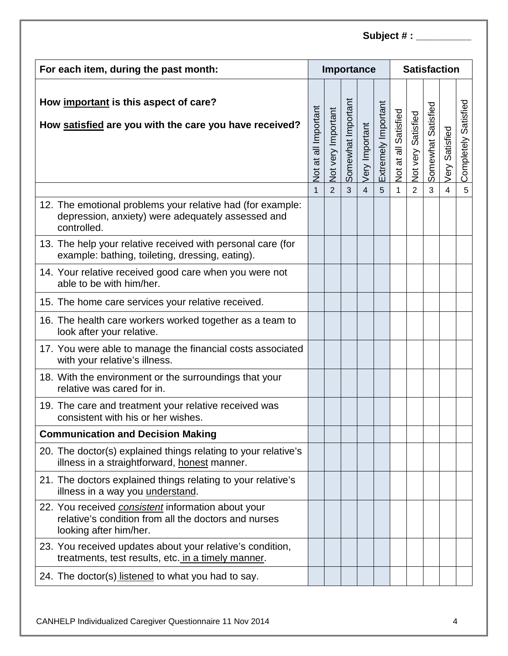| For each item, during the past month:                                                                                                       |                             |                    |                    | Importance     |                     | <b>Satisfaction</b>  |                    |                    |                |                         |  |
|---------------------------------------------------------------------------------------------------------------------------------------------|-----------------------------|--------------------|--------------------|----------------|---------------------|----------------------|--------------------|--------------------|----------------|-------------------------|--|
| How important is this aspect of care?<br>How satisfied are you with the care you have received?                                             | <b>Not at all Important</b> | Not very Important | Somewhat Important | Very Important | Extremely Important | Not at all Satisfied | Not very Satisfied | Somewhat Satisfied | Very Satisfied | Satisfied<br>Completely |  |
|                                                                                                                                             | $\mathbf{1}$                | 2                  | $\overline{3}$     | $\overline{4}$ | 5                   | $\mathbf 1$          | $\overline{2}$     | $\overline{3}$     | $\overline{4}$ | 5                       |  |
| 12. The emotional problems your relative had (for example:<br>depression, anxiety) were adequately assessed and<br>controlled.              |                             |                    |                    |                |                     |                      |                    |                    |                |                         |  |
| 13. The help your relative received with personal care (for<br>example: bathing, toileting, dressing, eating).                              |                             |                    |                    |                |                     |                      |                    |                    |                |                         |  |
| 14. Your relative received good care when you were not<br>able to be with him/her.                                                          |                             |                    |                    |                |                     |                      |                    |                    |                |                         |  |
| 15. The home care services your relative received.                                                                                          |                             |                    |                    |                |                     |                      |                    |                    |                |                         |  |
| 16. The health care workers worked together as a team to<br>look after your relative.                                                       |                             |                    |                    |                |                     |                      |                    |                    |                |                         |  |
| 17. You were able to manage the financial costs associated<br>with your relative's illness.                                                 |                             |                    |                    |                |                     |                      |                    |                    |                |                         |  |
| 18. With the environment or the surroundings that your<br>relative was cared for in.                                                        |                             |                    |                    |                |                     |                      |                    |                    |                |                         |  |
| 19. The care and treatment your relative received was<br>consistent with his or her wishes.                                                 |                             |                    |                    |                |                     |                      |                    |                    |                |                         |  |
| <b>Communication and Decision Making</b>                                                                                                    |                             |                    |                    |                |                     |                      |                    |                    |                |                         |  |
| 20. The doctor(s) explained things relating to your relative's<br>illness in a straightforward, honest manner.                              |                             |                    |                    |                |                     |                      |                    |                    |                |                         |  |
| 21. The doctors explained things relating to your relative's<br>illness in a way you understand.                                            |                             |                    |                    |                |                     |                      |                    |                    |                |                         |  |
| 22. You received <i>consistent</i> information about your<br>relative's condition from all the doctors and nurses<br>looking after him/her. |                             |                    |                    |                |                     |                      |                    |                    |                |                         |  |
| 23. You received updates about your relative's condition,<br>treatments, test results, etc. in a timely manner.                             |                             |                    |                    |                |                     |                      |                    |                    |                |                         |  |
| 24. The doctor(s) listened to what you had to say.                                                                                          |                             |                    |                    |                |                     |                      |                    |                    |                |                         |  |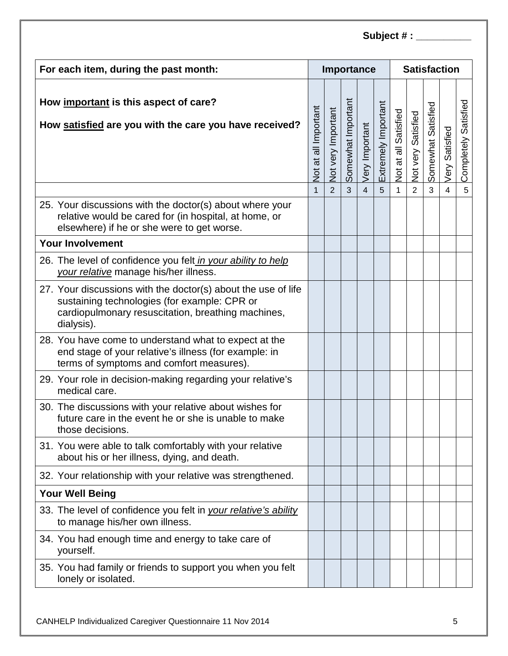| For each item, during the past month:                                                                                                                                             |   |                    |                    | Importance     |                     | <b>Satisfaction</b>  |                    |                    |                |                         |  |
|-----------------------------------------------------------------------------------------------------------------------------------------------------------------------------------|---|--------------------|--------------------|----------------|---------------------|----------------------|--------------------|--------------------|----------------|-------------------------|--|
| How important is this aspect of care?<br>How satisfied are you with the care you have received?                                                                                   |   | Not very Important | Somewhat Important | Very Important | Extremely Important | Not at all Satisfied | Not very Satisfied | Somewhat Satisfied | Very Satisfied | Satisfied<br>Completely |  |
|                                                                                                                                                                                   | 1 | $\overline{2}$     | $\overline{3}$     | $\overline{4}$ | 5                   | 1                    | $\overline{2}$     | 3                  | $\overline{4}$ | 5                       |  |
| 25. Your discussions with the doctor(s) about where your<br>relative would be cared for (in hospital, at home, or<br>elsewhere) if he or she were to get worse.                   |   |                    |                    |                |                     |                      |                    |                    |                |                         |  |
| <b>Your Involvement</b>                                                                                                                                                           |   |                    |                    |                |                     |                      |                    |                    |                |                         |  |
| 26. The level of confidence you felt in your ability to help<br>your relative manage his/her illness.                                                                             |   |                    |                    |                |                     |                      |                    |                    |                |                         |  |
| 27. Your discussions with the doctor(s) about the use of life<br>sustaining technologies (for example: CPR or<br>cardiopulmonary resuscitation, breathing machines,<br>dialysis). |   |                    |                    |                |                     |                      |                    |                    |                |                         |  |
| 28. You have come to understand what to expect at the<br>end stage of your relative's illness (for example: in<br>terms of symptoms and comfort measures).                        |   |                    |                    |                |                     |                      |                    |                    |                |                         |  |
| 29. Your role in decision-making regarding your relative's<br>medical care.                                                                                                       |   |                    |                    |                |                     |                      |                    |                    |                |                         |  |
| 30. The discussions with your relative about wishes for<br>future care in the event he or she is unable to make<br>those decisions.                                               |   |                    |                    |                |                     |                      |                    |                    |                |                         |  |
| 31. You were able to talk comfortably with your relative<br>about his or her illness, dying, and death.                                                                           |   |                    |                    |                |                     |                      |                    |                    |                |                         |  |
| 32. Your relationship with your relative was strengthened.                                                                                                                        |   |                    |                    |                |                     |                      |                    |                    |                |                         |  |
| <b>Your Well Being</b>                                                                                                                                                            |   |                    |                    |                |                     |                      |                    |                    |                |                         |  |
| 33. The level of confidence you felt in your relative's ability<br>to manage his/her own illness.                                                                                 |   |                    |                    |                |                     |                      |                    |                    |                |                         |  |
| 34. You had enough time and energy to take care of<br>yourself.                                                                                                                   |   |                    |                    |                |                     |                      |                    |                    |                |                         |  |
| 35. You had family or friends to support you when you felt<br>lonely or isolated.                                                                                                 |   |                    |                    |                |                     |                      |                    |                    |                |                         |  |